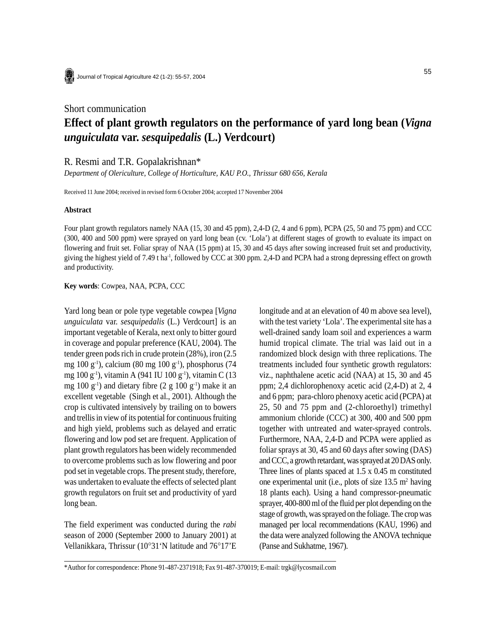

Journal of Tropical Agriculture 42 (1-2): 55-57, 2004

## Short communication **Effect of plant growth regulators on the performance of yard long bean (***Vigna unguiculata* **var.** *sesquipedalis* **(L.) Verdcourt)**

R. Resmi and T.R. Gopalakrishnan\*

*Department of Olericulture, College of Horticulture, KAU P.O., Thrissur 680 656, Kerala*

Received 11 June 2004; received in revised form 6 October 2004; accepted 17 November 2004

## **Abstract**

Four plant growth regulators namely NAA (15, 30 and 45 ppm), 2,4-D (2, 4 and 6 ppm), PCPA (25, 50 and 75 ppm) and CCC (300, 400 and 500 ppm) were sprayed on yard long bean (cv. 'Lola') at different stages of growth to evaluate its impact on flowering and fruit set. Foliar spray of NAA (15 ppm) at 15, 30 and 45 days after sowing increased fruit set and productivity, giving the highest yield of 7.49 t ha<sup>-1</sup>, followed by CCC at 300 ppm. 2,4-D and PCPA had a strong depressing effect on growth and productivity.

**Key words**: Cowpea, NAA, PCPA, CCC

Yard long bean or pole type vegetable cowpea [*Vigna unguiculata* var. *sesquipedalis* (L.) Verdcourt] is an important vegetable of Kerala, next only to bitter gourd in coverage and popular preference (KAU, 2004). The tender green pods rich in crude protein (28%), iron (2.5 mg 100 g<sup>-1</sup>), calcium (80 mg 100 g<sup>-1</sup>), phosphorus (74 mg 100 g<sup>-1</sup>), vitamin A (941 IU 100 g<sup>-1</sup>), vitamin C (13 mg 100  $g^{-1}$ ) and dietary fibre (2 g 100  $g^{-1}$ ) make it an excellent vegetable (Singh et al., 2001). Although the crop is cultivated intensively by trailing on to bowers and trellis in view of its potential for continuous fruiting and high yield, problems such as delayed and erratic flowering and low pod set are frequent. Application of plant growth regulators has been widely recommended to overcome problems such as low flowering and poor pod set in vegetable crops. The present study, therefore, was undertaken to evaluate the effects of selected plant growth regulators on fruit set and productivity of yard long bean.

The field experiment was conducted during the *rabi* season of 2000 (September 2000 to January 2001) at Vellanikkara, Thrissur (10°31'N latitude and 76°17'E longitude and at an elevation of 40 m above sea level), with the test variety 'Lola'. The experimental site has a well-drained sandy loam soil and experiences a warm humid tropical climate. The trial was laid out in a randomized block design with three replications. The treatments included four synthetic growth regulators: viz., naphthalene acetic acid (NAA) at 15, 30 and 45 ppm; 2,4 dichlorophenoxy acetic acid (2,4-D) at 2, 4 and 6 ppm; para-chloro phenoxy acetic acid (PCPA) at 25, 50 and 75 ppm and (2-chloroethyl) trimethyl ammonium chloride (CCC) at 300, 400 and 500 ppm together with untreated and water-sprayed controls. Furthermore, NAA, 2,4-D and PCPA were applied as foliar sprays at 30, 45 and 60 days after sowing (DAS) and CCC, a growth retardant, was sprayed at 20 DAS only. Three lines of plants spaced at 1.5 x 0.45 m constituted one experimental unit (i.e., plots of size  $13.5 \text{ m}^2$  having 18 plants each). Using a hand compressor-pneumatic sprayer, 400-800 ml of the fluid per plot depending on the stage of growth, was sprayed on the foliage. The crop was managed per local recommendations (KAU, 1996) and the data were analyzed following the ANOVA technique (Panse and Sukhatme, 1967).

<sup>\*</sup>Author for correspondence: Phone 91-487-2371918; Fax 91-487-370019; E-mail: trgk@lycosmail.com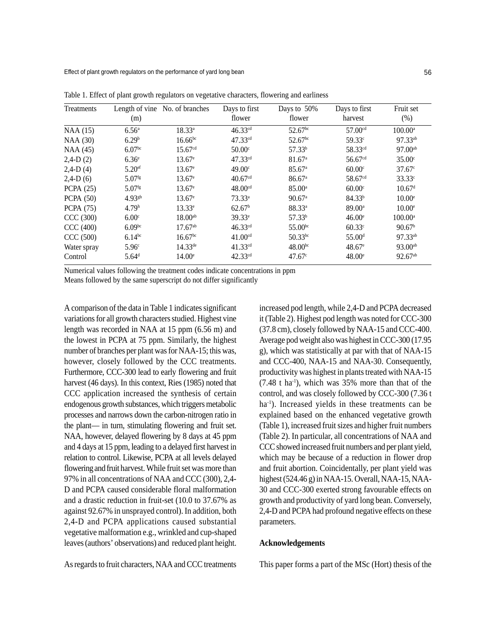Effect of plant growth regulators on the performance of yard long bean

| Treatments       | (m)                  | Length of vine No. of branches | Days to first<br>flower | Days to 50%<br>flower | Days to first<br>harvest | Fruit set<br>$(\%)$ |
|------------------|----------------------|--------------------------------|-------------------------|-----------------------|--------------------------|---------------------|
| NAA (15)         | $6.56^{\circ}$       | $18.33^{a}$                    | $46.33^{cd}$            | $52.67$ <sup>bc</sup> | 57.00 <sup>cd</sup>      | $100.00^{\rm a}$    |
| <b>NAA (30)</b>  | 6.29 <sup>b</sup>    | $16.66$ <sup>bc</sup>          | $47.33^{cd}$            | $52.67$ <sup>bc</sup> | 59.33 <sup>c</sup>       | 97.33ab             |
| NAA (45)         | 6.07 <sup>bc</sup>   | 15.67 <sup>cd</sup>            | 50.00 <sup>c</sup>      | 57.33 <sup>b</sup>    | 58.33 <sup>cd</sup>      | $97.00^{ab}$        |
| $2,4-D(2)$       | $6.36^{\circ}$       | $13.67^{\circ}$                | $47.33^{cd}$            | 81.67 <sup>a</sup>    | 56.67 <sup>cd</sup>      | 35.00 <sup>c</sup>  |
| $2,4-D(4)$       | $5.20$ <sup>ef</sup> | $13.67^{\circ}$                | 49.00c                  | $85.67$ <sup>a</sup>  | 60.00 <sup>c</sup>       | $37.67^{\circ}$     |
| $2,4-D(6)$       | $5.07$ <sup>fg</sup> | $13.67^{\circ}$                | 40.67 <sup>cd</sup>     | $86.67$ <sup>a</sup>  | 58.67 <sup>cd</sup>      | $33.33^{\circ}$     |
| PCPA $(25)$      | $5.07$ <sup>fg</sup> | $13.67^{\circ}$                | 48.00 <sup>cd</sup>     | $85.00^{\circ}$       | 60.00 <sup>c</sup>       | 10.67 <sup>d</sup>  |
| <b>PCPA</b> (50) | $4.93^{gh}$          | $13.67^{\circ}$                | $73.33^a$               | $90.67$ <sup>a</sup>  | 84.33 <sup>b</sup>       | 10.00 <sup>e</sup>  |
| <b>PCPA</b> (75) | 4.79 <sup>h</sup>    | $13.33^e$                      | 62.67 <sup>b</sup>      | $88.33^{a}$           | $89.00^{\circ}$          | $10.00^{\circ}$     |
| CCC (300)        | 6.00 <sup>c</sup>    | $18.00^{ab}$                   | 39.33 <sup>e</sup>      | 57.33 <sup>b</sup>    | $46.00^{\circ}$          | $100.00^{\circ}$    |
| CCC (400)        | 6.09 <sup>bc</sup>   | $17.67^{ab}$                   | $46.33^{cd}$            | $55.00^{bc}$          | 60.33c                   | 90.67 <sup>b</sup>  |
| CCC (500)        | $6.14^{bc}$          | 16.67 <sup>bc</sup>            | 41.00 <sup>cd</sup>     | $50.33^{bc}$          | 55.00 <sup>d</sup>       | 97.33ab             |
| Water spray      | 5.96 <sup>c</sup>    | $14.33^{\text{de}}$            | $41.33^{cd}$            | $48.00^{bc}$          | $48.67^{\circ}$          | $93.00^{ab}$        |
| Control          | 5.64 <sup>d</sup>    | $14.00^{\circ}$                | $42.33^{cd}$            | 47.67c                | $48.00^{\circ}$          | $92.67^{ab}$        |

Table 1. Effect of plant growth regulators on vegetative characters, flowering and earliness

Numerical values following the treatment codes indicate concentrations in ppm

Means followed by the same superscript do not differ significantly

A comparison of the data in Table 1 indicates significant variations for all growth characters studied. Highest vine length was recorded in NAA at 15 ppm (6.56 m) and the lowest in PCPA at 75 ppm. Similarly, the highest number of branches per plant was for NAA-15; this was, however, closely followed by the CCC treatments. Furthermore, CCC-300 lead to early flowering and fruit harvest (46 days). In this context, Ries (1985) noted that CCC application increased the synthesis of certain endogenous growth substances, which triggers metabolic processes and narrows down the carbon-nitrogen ratio in the plant— in turn, stimulating flowering and fruit set. NAA, however, delayed flowering by 8 days at 45 ppm and 4 days at 15 ppm, leading to a delayed first harvest in relation to control. Likewise, PCPA at all levels delayed flowering and fruit harvest. While fruit set was more than 97% in all concentrations of NAA and CCC (300), 2,4- D and PCPA caused considerable floral malformation and a drastic reduction in fruit-set (10.0 to 37.67% as against 92.67% in unsprayed control). In addition, both 2,4-D and PCPA applications caused substantial vegetative malformation e.g., wrinkled and cup-shaped leaves (authors' observations) and reduced plant height.

As regards to fruit characters, NAA and CCC treatments

increased pod length, while 2,4-D and PCPA decreased it (Table 2). Highest pod length was noted for CCC-300 (37.8 cm), closely followed by NAA-15 and CCC-400. Average pod weight also was highest in CCC-300 (17.95 g), which was statistically at par with that of NAA-15 and CCC-400, NAA-15 and NAA-30. Consequently, productivity was highest in plants treated with NAA-15  $(7.48 \text{ t} \text{ ha}^{-1})$ , which was 35% more than that of the control, and was closely followed by CCC-300 (7.36 t ha<sup>-1</sup>). Increased yields in these treatments can be explained based on the enhanced vegetative growth (Table 1), increased fruit sizes and higher fruit numbers (Table 2). In particular, all concentrations of NAA and CCC showed increased fruit numbers and per plant yield, which may be because of a reduction in flower drop and fruit abortion. Coincidentally, per plant yield was highest (524.46 g) in NAA-15. Overall, NAA-15, NAA-30 and CCC-300 exerted strong favourable effects on growth and productivity of yard long bean. Conversely, 2,4-D and PCPA had profound negative effects on these parameters.

## **Acknowledgements**

This paper forms a part of the MSc (Hort) thesis of the